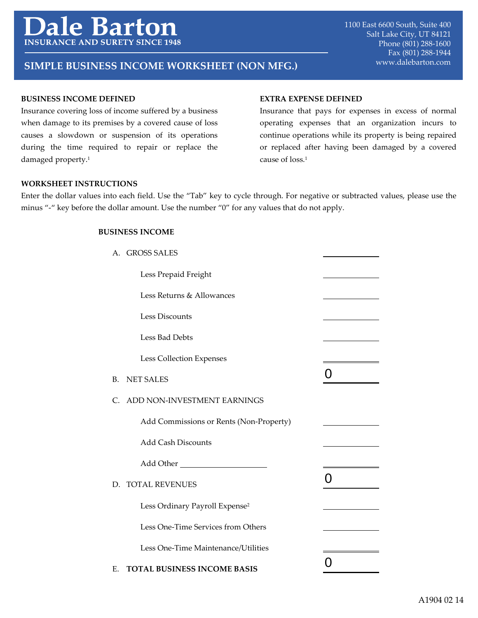# e Bartoi **INSURANCE AND SURETY SINC**

## www.dalebarton.com **SIMPLE BUSINESS INCOME WORKSHEET (NON MFG.)**

#### **BUSINESS INCOME DEFINED**

Insurance covering loss of income suffered by a business when damage to its premises by a covered cause of loss causes a slowdown or suspension of its operations during the time required to repair or replace the damaged property.<sup>1</sup>

#### **EXTRA EXPENSE DEFINED**

Insurance that pays for expenses in excess of normal operating expenses that an organization incurs to continue operations while its property is being repaired or replaced after having been damaged by a covered cause of loss.1

#### **WORKSHEET INSTRUCTIONS**

Enter the dollar values into each field. Use the "Tab" key to cycle through. For negative or subtracted values, please use the minus "-" key before the dollar amount. Use the number "0" for any values that do not apply.

### **BUSINESS INCOME**

|    | A. GROSS SALES                             |   |
|----|--------------------------------------------|---|
|    | Less Prepaid Freight                       |   |
|    | Less Returns & Allowances                  |   |
|    | <b>Less Discounts</b>                      |   |
|    | Less Bad Debts                             |   |
|    | Less Collection Expenses                   |   |
| В. | <b>NET SALES</b>                           | O |
| C. | ADD NON-INVESTMENT EARNINGS                |   |
|    | Add Commissions or Rents (Non-Property)    |   |
|    | <b>Add Cash Discounts</b>                  |   |
|    |                                            |   |
|    | D. TOTAL REVENUES                          | 0 |
|    | Less Ordinary Payroll Expense <sup>2</sup> |   |
|    | Less One-Time Services from Others         |   |
|    | Less One-Time Maintenance/Utilities        |   |
| E. | <b>TOTAL BUSINESS INCOME BASIS</b>         |   |